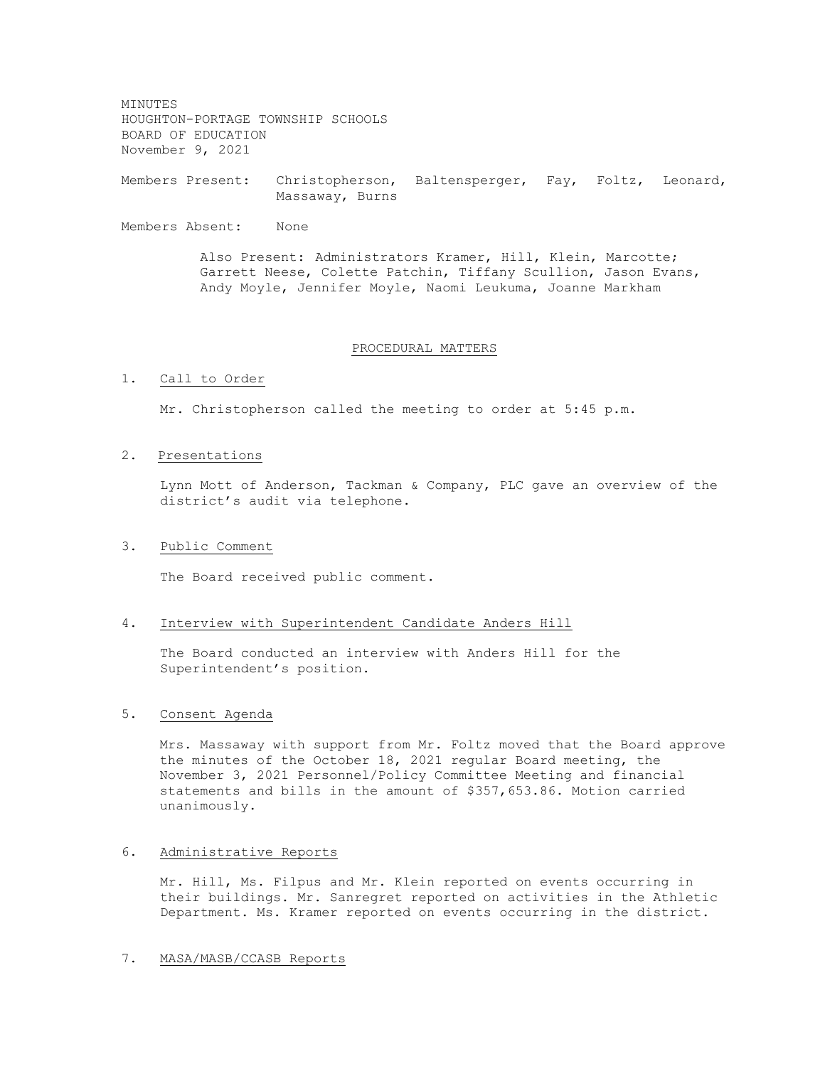MINUTES HOUGHTON-PORTAGE TOWNSHIP SCHOOLS BOARD OF EDUCATION November 9, 2021

Members Present: Christopherson, Baltensperger, Fay, Foltz, Leonard, Massaway, Burns

Members Absent: None

Also Present: Administrators Kramer, Hill, Klein, Marcotte; Garrett Neese, Colette Patchin, Tiffany Scullion, Jason Evans, Andy Moyle, Jennifer Moyle, Naomi Leukuma, Joanne Markham

## PROCEDURAL MATTERS

# 1. Call to Order

Mr. Christopherson called the meeting to order at 5:45 p.m.

### 2. Presentations

Lynn Mott of Anderson, Tackman & Company, PLC gave an overview of the district's audit via telephone.

### 3. Public Comment

The Board received public comment.

## 4. Interview with Superintendent Candidate Anders Hill

The Board conducted an interview with Anders Hill for the Superintendent's position.

## 5. Consent Agenda

Mrs. Massaway with support from Mr. Foltz moved that the Board approve the minutes of the October 18, 2021 regular Board meeting, the November 3, 2021 Personnel/Policy Committee Meeting and financial statements and bills in the amount of \$357,653.86. Motion carried unanimously.

# 6. Administrative Reports

Mr. Hill, Ms. Filpus and Mr. Klein reported on events occurring in their buildings. Mr. Sanregret reported on activities in the Athletic Department. Ms. Kramer reported on events occurring in the district.

# 7. MASA/MASB/CCASB Reports